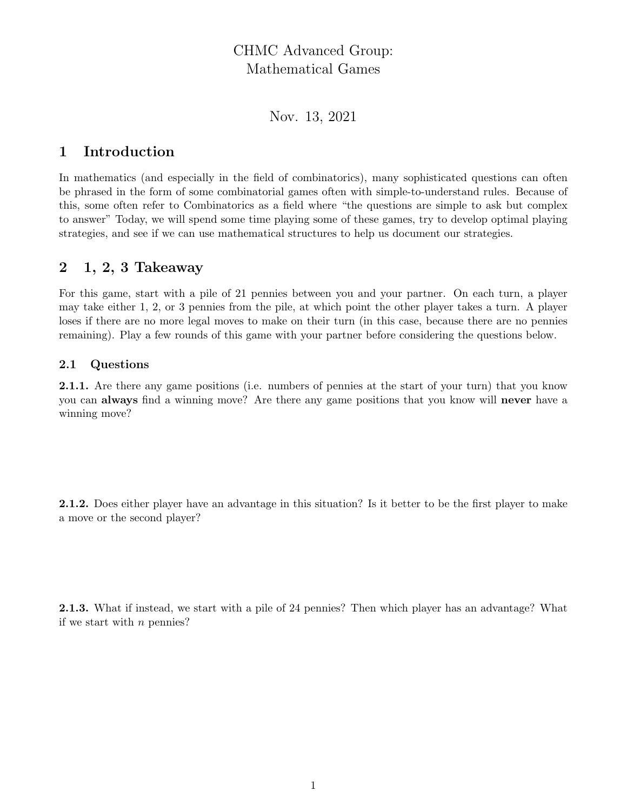# CHMC Advanced Group: Mathematical Games

Nov. 13, 2021

## 1 Introduction

In mathematics (and especially in the field of combinatorics), many sophisticated questions can often be phrased in the form of some combinatorial games often with simple-to-understand rules. Because of this, some often refer to Combinatorics as a field where "the questions are simple to ask but complex to answer" Today, we will spend some time playing some of these games, try to develop optimal playing strategies, and see if we can use mathematical structures to help us document our strategies.

## 2 1, 2, 3 Takeaway

For this game, start with a pile of 21 pennies between you and your partner. On each turn, a player may take either 1, 2, or 3 pennies from the pile, at which point the other player takes a turn. A player loses if there are no more legal moves to make on their turn (in this case, because there are no pennies remaining). Play a few rounds of this game with your partner before considering the questions below.

### 2.1 Questions

2.1.1. Are there any game positions (i.e. numbers of pennies at the start of your turn) that you know you can **always** find a winning move? Are there any game positions that you know will **never** have a winning move?

2.1.2. Does either player have an advantage in this situation? Is it better to be the first player to make a move or the second player?

2.1.3. What if instead, we start with a pile of 24 pennies? Then which player has an advantage? What if we start with  $n$  pennies?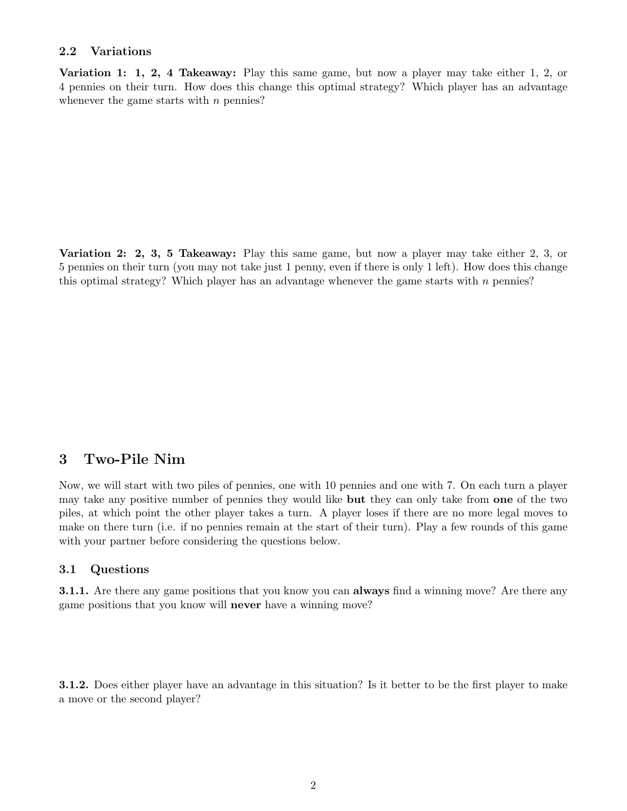#### 2.2 Variations

Variation 1: 1, 2, 4 Takeaway: Play this same game, but now a player may take either 1, 2, or 4 pennies on their turn. How does this change this optimal strategy? Which player has an advantage whenever the game starts with  $n$  pennies?

Variation 2: 2, 3, 5 Takeaway: Play this same game, but now a player may take either 2, 3, or 5 pennies on their turn (you may not take just 1 penny, even if there is only 1 left). How does this change this optimal strategy? Which player has an advantage whenever the game starts with  $n$  pennies?

## 3 Two-Pile Nim

Now, we will start with two piles of pennies, one with 10 pennies and one with 7. On each turn a player may take any positive number of pennies they would like **but** they can only take from **one** of the two piles, at which point the other player takes a turn. A player loses if there are no more legal moves to make on there turn (i.e. if no pennies remain at the start of their turn). Play a few rounds of this game with your partner before considering the questions below.

#### 3.1 Questions

**3.1.1.** Are there any game positions that you know you can **always** find a winning move? Are there any game positions that you know will never have a winning move?

**3.1.2.** Does either player have an advantage in this situation? Is it better to be the first player to make a move or the second player?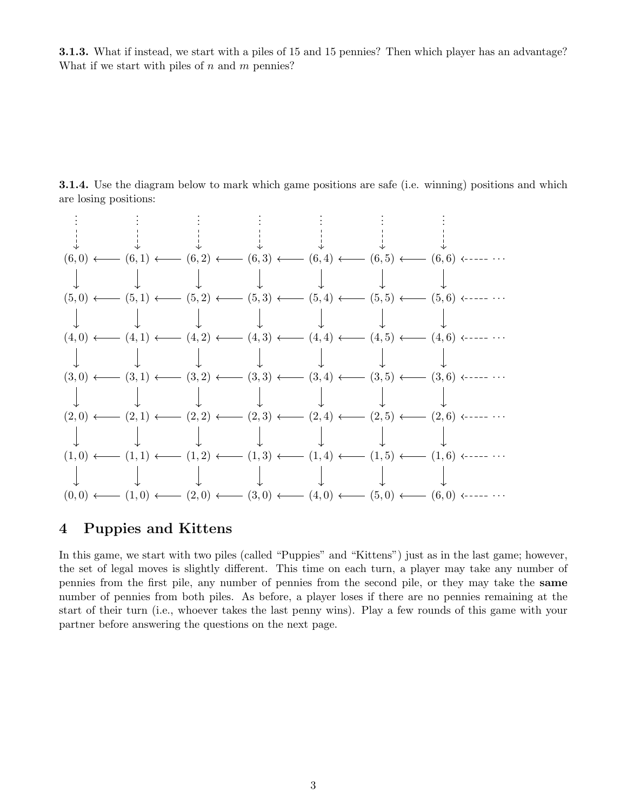3.1.3. What if instead, we start with a piles of 15 and 15 pennies? Then which player has an advantage? What if we start with piles of  $n$  and  $m$  pennies?

**3.1.4.** Use the diagram below to mark which game positions are safe (i.e. winning) positions and which are losing positions:

. . . . . . . . . . . . . . . . . . . . . (6, 0) (6, 1) (6, 2) (6, 3) (6, 4) (6, 5) (6, 6) · · · (5, 0) (5, 1) (5, 2) (5, 3) (5, 4) (5, 5) (5, 6) · · · (4, 0) (4, 1) (4, 2) (4, 3) (4, 4) (4, 5) (4, 6) · · · (3, 0) (3, 1) (3, 2) (3, 3) (3, 4) (3, 5) (3, 6) · · · (2, 0) (2, 1) (2, 2) (2, 3) (2, 4) (2, 5) (2, 6) · · · (1, 0) (1, 1) (1, 2) (1, 3) (1, 4) (1, 5) (1, 6) · · · (0, 0) (1, 0) (2, 0) (3, 0) (4, 0) (5, 0) (6, 0) · · ·

### 4 Puppies and Kittens

In this game, we start with two piles (called "Puppies" and "Kittens") just as in the last game; however, the set of legal moves is slightly different. This time on each turn, a player may take any number of pennies from the first pile, any number of pennies from the second pile, or they may take the same number of pennies from both piles. As before, a player loses if there are no pennies remaining at the start of their turn (i.e., whoever takes the last penny wins). Play a few rounds of this game with your partner before answering the questions on the next page.